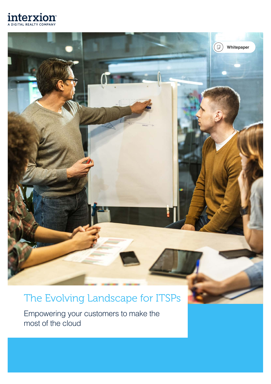



## The Evolving Landscape for ITSPs

Empowering your customers to make the most of the cloud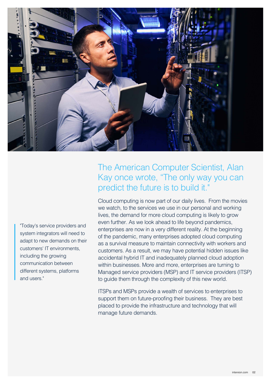

"Today's service providers and system integrators will need to adapt to new demands on their customers' IT environments, including the growing communication between different systems, platforms and users."

### The American Computer Scientist, Alan Kay once wrote, "The only way you can predict the future is to build it."

Cloud computing is now part of our daily lives. From the movies we watch, to the services we use in our personal and working lives, the demand for more cloud computing is likely to grow even further. As we look ahead to life beyond pandemics, enterprises are now in a very different reality. At the beginning of the pandemic, many enterprises adopted cloud computing as a survival measure to maintain connectivity with workers and customers. As a result, we may have potential hidden issues like accidental hybrid IT and inadequately planned cloud adoption within businesses. More and more, enterprises are turning to Managed service providers (MSP) and IT service providers (ITSP) to guide them through the complexity of this new world.

ITSPs and MSPs provide a wealth of services to enterprises to support them on future-proofing their business. They are best placed to provide the infrastructure and technology that will manage future demands.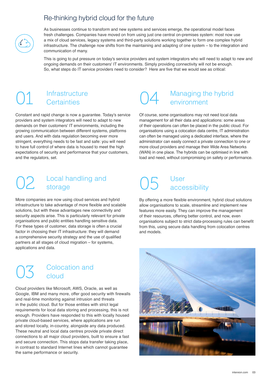#### Re-thinking hybrid cloud for the future

As businesses continue to transform and new systems and services emerge, the operational model faces fresh challenges. Companies have moved on from using just one central on-premises system: most now use a mix of cloud services, legacy systems and third-party solutions working together to form one complex hybrid infrastructure. The challenge now shifts from the maintaining and adapting of one system – to the integration and communication of many.

This is going to put pressure on today's service providers and system integrators who will need to adapt to new and ongoing demands on their customers' IT environments. Simply providing connectivity will not be enough. So, what steps do IT service providers need to consider? Here are five that we would see as critical:

# Infrastructure<br>Certainties

Constant and rapid change is now a guarantee. Today's service providers and system integrators will need to adapt to new demands on their customers' IT environments, including the growing communication between different systems, platforms and users. And with data regulation becoming ever more stringent, everything needs to be fast and safe: you will need to have full control of where data is housed to meet the high expectations of security and performance that your customers, and the regulators, set.

#### O2 Local handling and O5 User<br>
o2 storage O5 accessibility storage

More companies are now using cloud services and hybrid infrastructure to take advantage of more flexible and scalable solutions, but with these advantages new connectivity and security aspects arise. This is particularly relevant for private organisations and public entities handling sensitive data. For these types of customer, data storage is often a crucial factor in choosing their IT infrastructure: they will demand a comprehensive security strategy and the use of qualified partners at all stages of cloud migration – for systems, applications and data.

#### Colocation and cloud

Cloud providers like Microsoft, AWS, Oracle, as well as Google, IBM and many more, offer good security with firewalls and real-time monitoring against intrusion and threats in the public cloud. But for those entities with strict legal requirements for local data storing and processing, this is not enough. Providers have responded to this with locally housed private cloud-based services, where applications are run and stored locally, in-country, alongside any data produced. These neutral and local data centres provide private direct connections to all major cloud providers, built to ensure a fast and secure connection. This stops data transfer taking place, in contrast to standard Internet lines which cannot guarantee the same performance or security.

#### Managing the hybrid environment

Of course, some organisations may not need local data management for all their data and applications: some areas of their operations can often be placed in the public cloud. For organisations using a colocation data centre, IT administration can often be managed using a dedicated interface, where the administrator can easily connect a private connection to one or more cloud providers and manage their Wide Area Networks (WAN) in one place. The hybrids can be optimised in line with load and need, without compromising on safety or performance.

By offering a more flexible environment, hybrid cloud solutions allow organisations to scale, streamline and implement new features more easily. They can improve the management of their resources, offering better control, and now, even organisations subject to strict data-processing rules can benefit from this, using secure data handling from colocation centres and models.